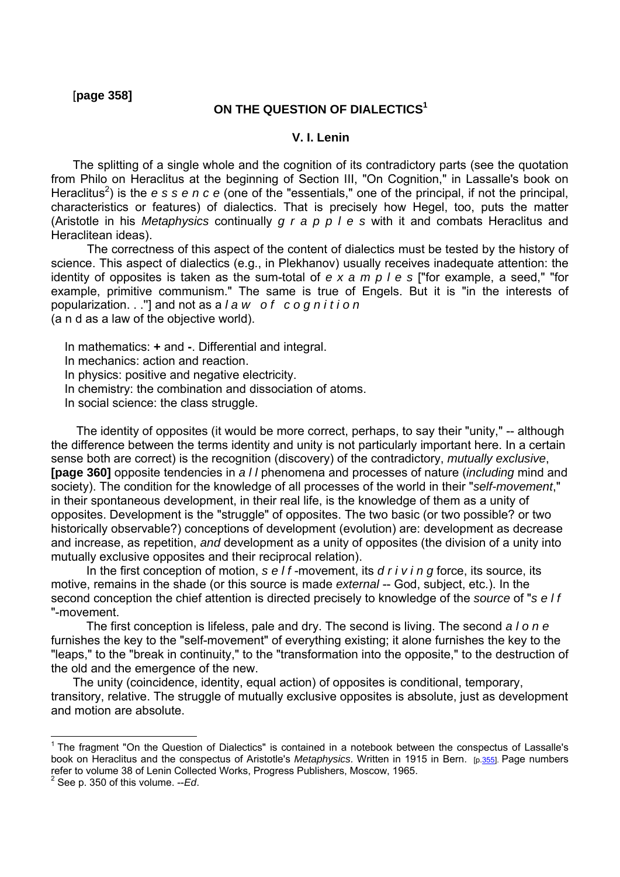## **ON THE QUESTION OF DIALECTICS1**

## **V. I. Lenin**

The splitting of a single whole and the cognition of its contradictory parts (see the quotation from Philo on Heraclitus at the beginning of Section III, "On Cognition," in Lassalle's book on Heraclitus<sup>2</sup>) is the *e s s e n c e* (one of the "essentials," one of the principal, if not the principal, characteristics or features) of dialectics. That is precisely how Hegel, too, puts the matter (Aristotle in his *Metaphysics* continually *g r a p p l e s* with it and combats Heraclitus and Heraclitean ideas).

 The correctness of this aspect of the content of dialectics must be tested by the history of science. This aspect of dialectics (e.g., in Plekhanov) usually receives inadequate attention: the identity of opposites is taken as the sum-total of *e x a m p l e s* ["for example, a seed," "for example, primitive communism." The same is true of Engels. But it is "in the interests of popularization. . .''] and not as a *l a w o f c o g n i t i o n* (a n d as a law of the objective world).

In mathematics: **+** and **-**. Differential and integral.

In mechanics: action and reaction.

In physics: positive and negative electricity.

In chemistry: the combination and dissociation of atoms.

In social science: the class struggle.

 The identity of opposites (it would be more correct, perhaps, to say their "unity," -- although the difference between the terms identity and unity is not particularly important here. In a certain sense both are correct) is the recognition (discovery) of the contradictory, *mutually exclusive*, **[page 360]** opposite tendencies in *a l l* phenomena and processes of nature (*including* mind and society). The condition for the knowledge of all processes of the world in their "*self-movement*," in their spontaneous development, in their real life, is the knowledge of them as a unity of opposites. Development is the "struggle" of opposites. The two basic (or two possible? or two historically observable?) conceptions of development (evolution) are: development as decrease and increase, as repetition, *and* development as a unity of opposites (the division of a unity into mutually exclusive opposites and their reciprocal relation).

 In the first conception of motion, *s e l f* -movement, its *d r i v i n g* force, its source, its motive, remains in the shade (or this source is made *external* -- God, subject, etc.). In the second conception the chief attention is directed precisely to knowledge of the *source* of "*s e l f*  "-movement.

 The first conception is lifeless, pale and dry. The second is living. The second *a l o n e* furnishes the key to the "self-movement" of everything existing; it alone furnishes the key to the "leaps," to the "break in continuity," to the "transformation into the opposite," to the destruction of the old and the emergence of the new.

The unity (coincidence, identity, equal action) of opposites is conditional, temporary, transitory, relative. The struggle of mutually exclusive opposites is absolute, just as development and motion are absolute.

-

<sup>&</sup>lt;sup>1</sup> The fragment "On the Question of Dialectics" is contained in a notebook between the conspectus of Lassalle's book on Heraclitus and the conspectus of Aristotle's *Metaphysics*. Written in 1915 in Bern. [p.355]. Page numbers refer to volume 38 of Lenin Collected Works, Progress Publishers, Moscow, 1965. 2

 $2^2$  See p. 350 of this volume.  $-Ed$ .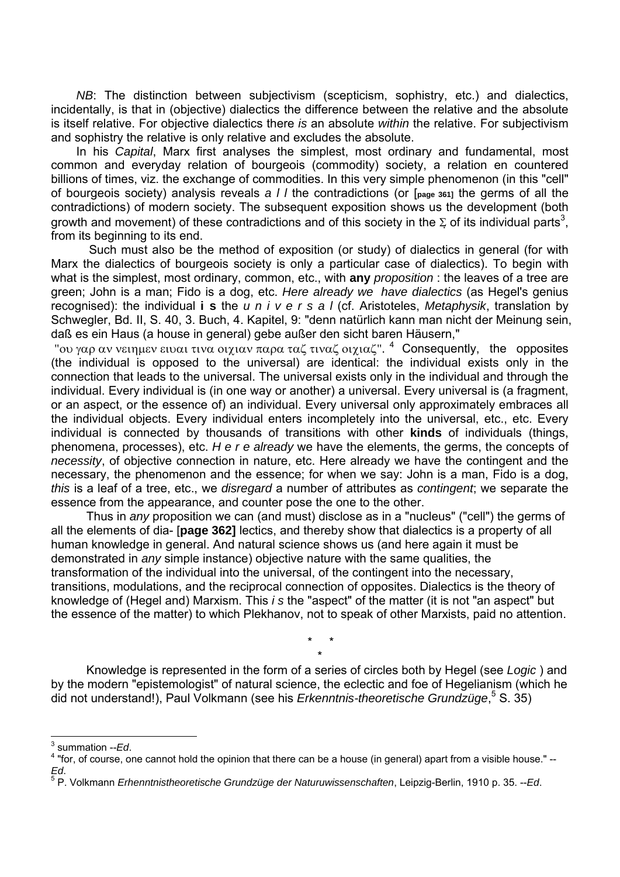*NB*: The distinction between subjectivism (scepticism, sophistry, etc.) and dialectics, incidentally, is that in (objective) dialectics the difference between the relative and the absolute is itself relative. For objective dialectics there *is* an absolute *within* the relative. For subjectivism and sophistry the relative is only relative and excludes the absolute.

 In his *Capital*, Marx first analyses the simplest, most ordinary and fundamental, most common and everyday relation of bourgeois (commodity) society, a relation en countered billions of times, viz. the exchange of commodities. In this very simple phenomenon (in this "cell" of bourgeois society) analysis reveals *a l l* the contradictions (or [**page 361]** the germs of all the contradictions) of modern society. The subsequent exposition shows us the development (both growth and movement) of these contradictions and of this society in the  $\Sigma$  of its individual parts<sup>3</sup>, from its beginning to its end.

 Such must also be the method of exposition (or study) of dialectics in general (for with Marx the dialectics of bourgeois society is only a particular case of dialectics). To begin with what is the simplest, most ordinary, common, etc., with **any** *proposition* : the leaves of a tree are green; John is a man; Fido is a dog, etc. *Here already we have dialectics* (as Hegel's genius recognised): the individual **i s** the *u n i v e r s a l* (cf. Aristoteles, *Metaphysik*, translation by Schwegler, Bd. II, S. 40, 3. Buch, 4. Kapitel, 9: "denn natürlich kann man nicht der Meinung sein, daß es ein Haus (a house in general) gebe außer den sicht baren Häusern,"

"ου γαρ αν νειημεν ειυαι τινα οιχιαν παρα ταζ τιναζ οιχιαζ". <sup>4</sup> Consequently, the opposites (the individual is opposed to the universal) are identical: the individual exists only in the connection that leads to the universal. The universal exists only in the individual and through the individual. Every individual is (in one way or another) a universal. Every universal is (a fragment, or an aspect, or the essence of) an individual. Every universal only approximately embraces all the individual objects. Every individual enters incompletely into the universal, etc., etc. Every individual is connected by thousands of transitions with other **kinds** of individuals (things, phenomena, processes), etc. *H e r e already* we have the elements, the germs, the concepts of *necessity*, of objective connection in nature, etc. Here already we have the contingent and the necessary, the phenomenon and the essence; for when we say: John is a man, Fido is a dog, *this* is a leaf of a tree, etc., we *disregard* a number of attributes as *contingent*; we separate the essence from the appearance, and counter pose the one to the other.

 Thus in *any* proposition we can (and must) disclose as in a "nucleus" ("cell") the germs of all the elements of dia- [**page 362]** lectics, and thereby show that dialectics is a property of all human knowledge in general. And natural science shows us (and here again it must be demonstrated in *any* simple instance) objective nature with the same qualities, the transformation of the individual into the universal, of the contingent into the necessary, transitions, modulations, and the reciprocal connection of opposites. Dialectics is the theory of knowledge of (Hegel and) Marxism. This *i s* the "aspect" of the matter (it is not "an aspect" but the essence of the matter) to which Plekhanov, not to speak of other Marxists, paid no attention.

\* \*

 Knowledge is represented in the form of a series of circles both by Hegel (see *Logic* ) and by the modern "epistemologist" of natural science, the eclectic and foe of Hegelianism (which he did not understand!), Paul Volkmann (see his *Erkenntnis-theoretische Grundzüge*,<sup>5</sup> S. 35)

\*

<sup>-</sup>3

<sup>&</sup>lt;sup>3</sup> summation --*Ed*.<br><sup>4</sup> "for, of course, one cannot hold the opinion that there can be a house (in general) apart from a visible house." --*Ed*. 5

P. Volkmann *Erhenntnistheoretische Grundzüge der Naturuwissenschaften*, Leipzig-Berlin, 1910 p. 35. --*Ed*.